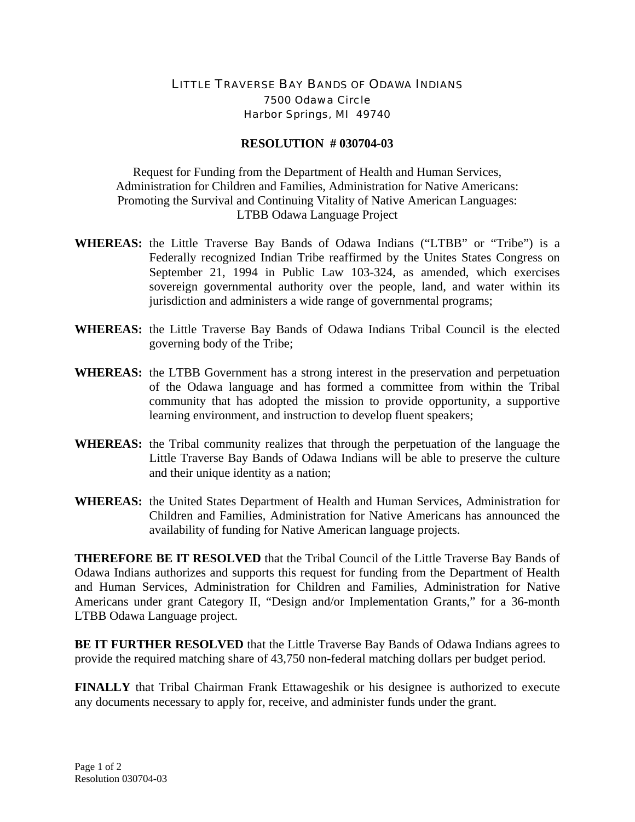## LITTLE TRAVERSE BAY BANDS OF ODAWA INDIANS 7500 Odawa Circle Harbor Springs, MI 49740

## **RESOLUTION # 030704-03**

Request for Funding from the Department of Health and Human Services, Administration for Children and Families, Administration for Native Americans: Promoting the Survival and Continuing Vitality of Native American Languages: LTBB Odawa Language Project

- **WHEREAS:** the Little Traverse Bay Bands of Odawa Indians ("LTBB" or "Tribe") is a Federally recognized Indian Tribe reaffirmed by the Unites States Congress on September 21, 1994 in Public Law 103-324, as amended, which exercises sovereign governmental authority over the people, land, and water within its jurisdiction and administers a wide range of governmental programs;
- **WHEREAS:** the Little Traverse Bay Bands of Odawa Indians Tribal Council is the elected governing body of the Tribe;
- **WHEREAS:** the LTBB Government has a strong interest in the preservation and perpetuation of the Odawa language and has formed a committee from within the Tribal community that has adopted the mission to provide opportunity, a supportive learning environment, and instruction to develop fluent speakers;
- **WHEREAS:** the Tribal community realizes that through the perpetuation of the language the Little Traverse Bay Bands of Odawa Indians will be able to preserve the culture and their unique identity as a nation;
- **WHEREAS:** the United States Department of Health and Human Services, Administration for Children and Families, Administration for Native Americans has announced the availability of funding for Native American language projects.

**THEREFORE BE IT RESOLVED** that the Tribal Council of the Little Traverse Bay Bands of Odawa Indians authorizes and supports this request for funding from the Department of Health and Human Services, Administration for Children and Families, Administration for Native Americans under grant Category II, "Design and/or Implementation Grants," for a 36-month LTBB Odawa Language project.

**BE IT FURTHER RESOLVED** that the Little Traverse Bay Bands of Odawa Indians agrees to provide the required matching share of 43,750 non-federal matching dollars per budget period.

**FINALLY** that Tribal Chairman Frank Ettawageshik or his designee is authorized to execute any documents necessary to apply for, receive, and administer funds under the grant.